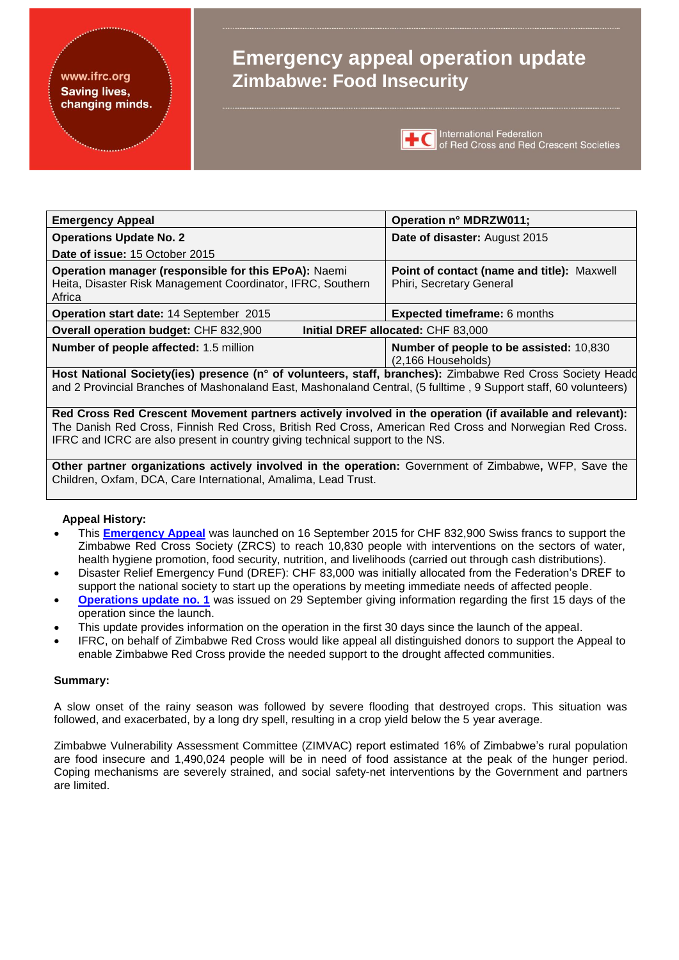#### www.ifrc.org **Saving lives,** changing minds.

# **Emergency appeal operation update Zimbabwe: Food Insecurity**



**TEC** International Federation<br>
of Red Cross and Red Crescent Societies

| <b>Emergency Appeal</b>                                                                                                       | Operation n° MDRZW011;                                                 |  |  |  |
|-------------------------------------------------------------------------------------------------------------------------------|------------------------------------------------------------------------|--|--|--|
| <b>Operations Update No. 2</b>                                                                                                | Date of disaster: August 2015                                          |  |  |  |
| Date of issue: 15 October 2015                                                                                                |                                                                        |  |  |  |
| Operation manager (responsible for this EPoA): Naemi<br>Heita, Disaster Risk Management Coordinator, IFRC, Southern<br>Africa | Point of contact (name and title): Maxwell<br>Phiri, Secretary General |  |  |  |
| Operation start date: 14 September 2015                                                                                       | <b>Expected timeframe: 6 months</b>                                    |  |  |  |
| Initial DREF allocated: CHF 83,000<br><b>Overall operation budget: CHF 832,900</b>                                            |                                                                        |  |  |  |
| Number of people affected: 1.5 million                                                                                        | Number of people to be assisted: 10,830<br>(2,166 Households)          |  |  |  |

**Host National Society(ies) presence (n° of volunteers, staff, branches):** Zimbabwe Red Cross Society Headd and 2 Provincial Branches of Mashonaland East, Mashonaland Central, (5 fulltime , 9 Support staff, 60 volunteers)

**Red Cross Red Crescent Movement partners actively involved in the operation (if available and relevant):**  The Danish Red Cross, Finnish Red Cross, British Red Cross, American Red Cross and Norwegian Red Cross. IFRC and ICRC are also present in country giving technical support to the NS.

**Other partner organizations actively involved in the operation:** Government of Zimbabwe**,** WFP, Save the Children, Oxfam, DCA, Care International, Amalima, Lead Trust.

#### **Appeal History:**

- This **[Emergency Appeal](http://adore.ifrc.org/Download.aspx?FileId=97872)** was launched on 16 September 2015 for CHF 832,900 Swiss francs to support the Zimbabwe Red Cross Society (ZRCS) to reach 10,830 people with interventions on the sectors of water, health hygiene promotion, food security, nutrition, and livelihoods (carried out through cash distributions).
- Disaster Relief Emergency Fund (DREF): CHF 83,000 was initially allocated from the Federation's DREF to support the national society to start up the operations by meeting immediate needs of affected people.
- **[Operations update no. 1](http://adore.ifrc.org/Download.aspx?FileId=98734)** was issued on 29 September giving information regarding the first 15 days of the operation since the launch.
- This update provides information on the operation in the first 30 days since the launch of the appeal.
- IFRC, on behalf of Zimbabwe Red Cross would like appeal all distinguished donors to support the Appeal to enable Zimbabwe Red Cross provide the needed support to the drought affected communities.

#### **Summary:**

A slow onset of the rainy season was followed by severe flooding that destroyed crops. This situation was followed, and exacerbated, by a long dry spell, resulting in a crop yield below the 5 year average.

Zimbabwe Vulnerability Assessment Committee (ZIMVAC) report estimated 16% of Zimbabwe's rural population are food insecure and 1,490,024 people will be in need of food assistance at the peak of the hunger period. Coping mechanisms are severely strained, and social safety-net interventions by the Government and partners are limited.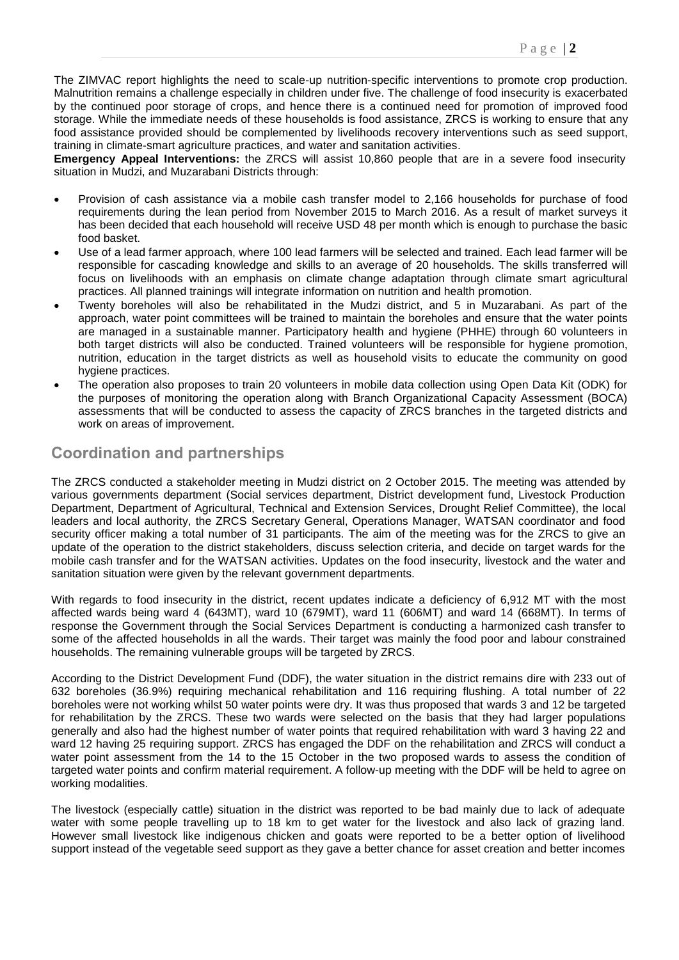The ZIMVAC report highlights the need to scale-up nutrition-specific interventions to promote crop production. Malnutrition remains a challenge especially in children under five. The challenge of food insecurity is exacerbated by the continued poor storage of crops, and hence there is a continued need for promotion of improved food storage. While the immediate needs of these households is food assistance, ZRCS is working to ensure that any food assistance provided should be complemented by livelihoods recovery interventions such as seed support, training in climate-smart agriculture practices, and water and sanitation activities.

**Emergency Appeal Interventions:** the ZRCS will assist 10,860 people that are in a severe food insecurity situation in Mudzi, and Muzarabani Districts through:

- Provision of cash assistance via a mobile cash transfer model to 2,166 households for purchase of food requirements during the lean period from November 2015 to March 2016. As a result of market surveys it has been decided that each household will receive USD 48 per month which is enough to purchase the basic food basket.
- Use of a lead farmer approach, where 100 lead farmers will be selected and trained. Each lead farmer will be responsible for cascading knowledge and skills to an average of 20 households. The skills transferred will focus on livelihoods with an emphasis on climate change adaptation through climate smart agricultural practices. All planned trainings will integrate information on nutrition and health promotion.
- Twenty boreholes will also be rehabilitated in the Mudzi district, and 5 in Muzarabani. As part of the approach, water point committees will be trained to maintain the boreholes and ensure that the water points are managed in a sustainable manner. Participatory health and hygiene (PHHE) through 60 volunteers in both target districts will also be conducted. Trained volunteers will be responsible for hygiene promotion, nutrition, education in the target districts as well as household visits to educate the community on good hygiene practices.
- The operation also proposes to train 20 volunteers in mobile data collection using Open Data Kit (ODK) for the purposes of monitoring the operation along with Branch Organizational Capacity Assessment (BOCA) assessments that will be conducted to assess the capacity of ZRCS branches in the targeted districts and work on areas of improvement.

## **Coordination and partnerships**

The ZRCS conducted a stakeholder meeting in Mudzi district on 2 October 2015. The meeting was attended by various governments department (Social services department, District development fund, Livestock Production Department, Department of Agricultural, Technical and Extension Services, Drought Relief Committee), the local leaders and local authority, the ZRCS Secretary General, Operations Manager, WATSAN coordinator and food security officer making a total number of 31 participants. The aim of the meeting was for the ZRCS to give an update of the operation to the district stakeholders, discuss selection criteria, and decide on target wards for the mobile cash transfer and for the WATSAN activities. Updates on the food insecurity, livestock and the water and sanitation situation were given by the relevant government departments.

With regards to food insecurity in the district, recent updates indicate a deficiency of 6,912 MT with the most affected wards being ward 4 (643MT), ward 10 (679MT), ward 11 (606MT) and ward 14 (668MT). In terms of response the Government through the Social Services Department is conducting a harmonized cash transfer to some of the affected households in all the wards. Their target was mainly the food poor and labour constrained households. The remaining vulnerable groups will be targeted by ZRCS.

According to the District Development Fund (DDF), the water situation in the district remains dire with 233 out of 632 boreholes (36.9%) requiring mechanical rehabilitation and 116 requiring flushing. A total number of 22 boreholes were not working whilst 50 water points were dry. It was thus proposed that wards 3 and 12 be targeted for rehabilitation by the ZRCS. These two wards were selected on the basis that they had larger populations generally and also had the highest number of water points that required rehabilitation with ward 3 having 22 and ward 12 having 25 requiring support. ZRCS has engaged the DDF on the rehabilitation and ZRCS will conduct a water point assessment from the 14 to the 15 October in the two proposed wards to assess the condition of targeted water points and confirm material requirement. A follow-up meeting with the DDF will be held to agree on working modalities.

The livestock (especially cattle) situation in the district was reported to be bad mainly due to lack of adequate water with some people travelling up to 18 km to get water for the livestock and also lack of grazing land. However small livestock like indigenous chicken and goats were reported to be a better option of livelihood support instead of the vegetable seed support as they gave a better chance for asset creation and better incomes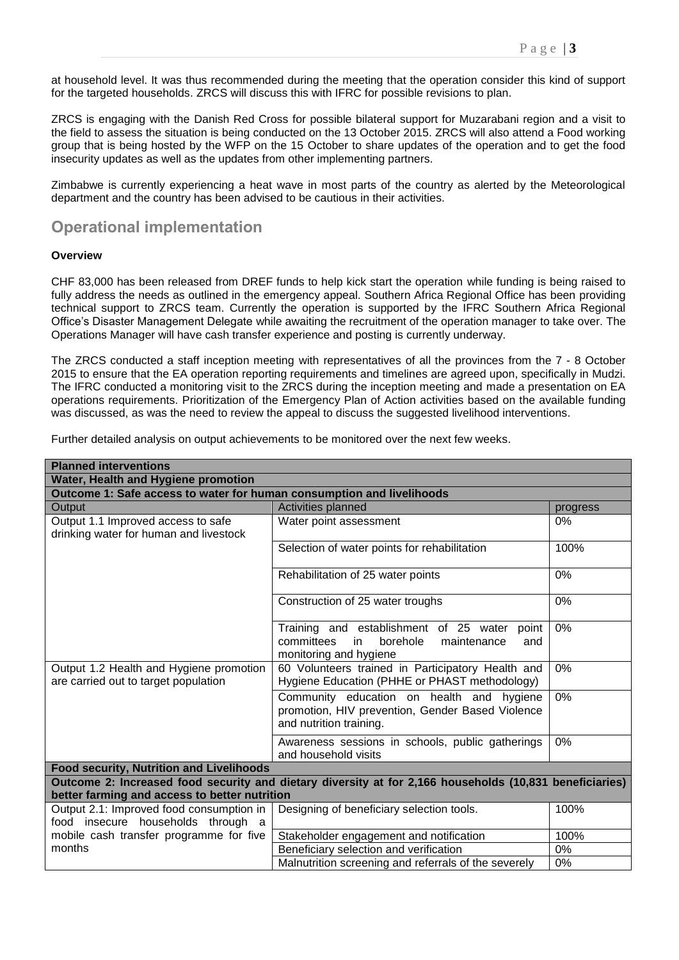at household level. It was thus recommended during the meeting that the operation consider this kind of support for the targeted households. ZRCS will discuss this with IFRC for possible revisions to plan.

ZRCS is engaging with the Danish Red Cross for possible bilateral support for Muzarabani region and a visit to the field to assess the situation is being conducted on the 13 October 2015. ZRCS will also attend a Food working group that is being hosted by the WFP on the 15 October to share updates of the operation and to get the food insecurity updates as well as the updates from other implementing partners.

Zimbabwe is currently experiencing a heat wave in most parts of the country as alerted by the Meteorological department and the country has been advised to be cautious in their activities.

### **Operational implementation**

#### **Overview**

CHF 83,000 has been released from DREF funds to help kick start the operation while funding is being raised to fully address the needs as outlined in the emergency appeal. Southern Africa Regional Office has been providing technical support to ZRCS team. Currently the operation is supported by the IFRC Southern Africa Regional Office's Disaster Management Delegate while awaiting the recruitment of the operation manager to take over. The Operations Manager will have cash transfer experience and posting is currently underway.

The ZRCS conducted a staff inception meeting with representatives of all the provinces from the 7 - 8 October 2015 to ensure that the EA operation reporting requirements and timelines are agreed upon, specifically in Mudzi. The IFRC conducted a monitoring visit to the ZRCS during the inception meeting and made a presentation on EA operations requirements. Prioritization of the Emergency Plan of Action activities based on the available funding was discussed, as was the need to review the appeal to discuss the suggested livelihood interventions.

|  |  |  |  | Further detailed analysis on output achievements to be monitored over the next few weeks. |
|--|--|--|--|-------------------------------------------------------------------------------------------|
|--|--|--|--|-------------------------------------------------------------------------------------------|

| <b>Planned interventions</b>                                                                                                                             |                                                                                                                              |          |  |  |  |  |
|----------------------------------------------------------------------------------------------------------------------------------------------------------|------------------------------------------------------------------------------------------------------------------------------|----------|--|--|--|--|
| Water, Health and Hygiene promotion                                                                                                                      |                                                                                                                              |          |  |  |  |  |
| Outcome 1: Safe access to water for human consumption and livelihoods                                                                                    |                                                                                                                              |          |  |  |  |  |
| Output                                                                                                                                                   | Activities planned                                                                                                           | progress |  |  |  |  |
| Output 1.1 Improved access to safe<br>drinking water for human and livestock                                                                             | Water point assessment                                                                                                       | 0%       |  |  |  |  |
|                                                                                                                                                          | Selection of water points for rehabilitation                                                                                 | 100%     |  |  |  |  |
|                                                                                                                                                          | Rehabilitation of 25 water points                                                                                            | $0\%$    |  |  |  |  |
|                                                                                                                                                          | Construction of 25 water troughs                                                                                             | 0%       |  |  |  |  |
|                                                                                                                                                          | Training and establishment of 25 water point<br>committees<br>borehole<br>in<br>maintenance<br>and<br>monitoring and hygiene | 0%       |  |  |  |  |
| Output 1.2 Health and Hygiene promotion<br>are carried out to target population                                                                          | 60 Volunteers trained in Participatory Health and<br>Hygiene Education (PHHE or PHAST methodology)                           | 0%       |  |  |  |  |
|                                                                                                                                                          | Community education on health and hygiene<br>promotion, HIV prevention, Gender Based Violence<br>and nutrition training.     | 0%       |  |  |  |  |
|                                                                                                                                                          | Awareness sessions in schools, public gatherings<br>and household visits                                                     | 0%       |  |  |  |  |
| <b>Food security, Nutrition and Livelihoods</b>                                                                                                          |                                                                                                                              |          |  |  |  |  |
| Outcome 2: Increased food security and dietary diversity at for 2,166 households (10,831 beneficiaries)<br>better farming and access to better nutrition |                                                                                                                              |          |  |  |  |  |
| Output 2.1: Improved food consumption in<br>food insecure households through a                                                                           | Designing of beneficiary selection tools.                                                                                    | 100%     |  |  |  |  |
| mobile cash transfer programme for five                                                                                                                  | Stakeholder engagement and notification                                                                                      | 100%     |  |  |  |  |
| months                                                                                                                                                   | Beneficiary selection and verification                                                                                       | 0%       |  |  |  |  |
|                                                                                                                                                          | Malnutrition screening and referrals of the severely                                                                         | 0%       |  |  |  |  |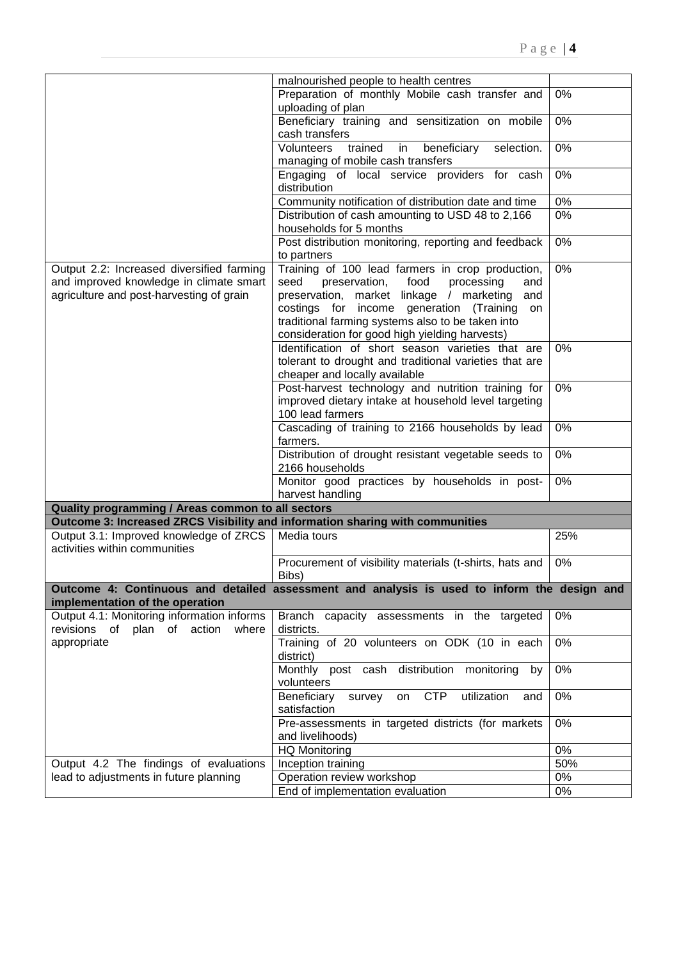|                                                                               | malnourished people to health centres                                                                     |       |
|-------------------------------------------------------------------------------|-----------------------------------------------------------------------------------------------------------|-------|
|                                                                               | 0%                                                                                                        |       |
|                                                                               | Preparation of monthly Mobile cash transfer and<br>uploading of plan                                      |       |
|                                                                               | 0%                                                                                                        |       |
|                                                                               |                                                                                                           |       |
|                                                                               | $0\%$                                                                                                     |       |
|                                                                               | Volunteers<br>selection.<br>trained<br>beneficiary<br>in                                                  |       |
|                                                                               | managing of mobile cash transfers<br>Engaging of local service providers for cash                         |       |
|                                                                               | 0%                                                                                                        |       |
|                                                                               | distribution                                                                                              |       |
|                                                                               | Community notification of distribution date and time<br>Distribution of cash amounting to USD 48 to 2,166 | $0\%$ |
|                                                                               | 0%                                                                                                        |       |
|                                                                               | households for 5 months                                                                                   |       |
|                                                                               | Post distribution monitoring, reporting and feedback                                                      | 0%    |
|                                                                               | to partners                                                                                               |       |
| Output 2.2: Increased diversified farming                                     | Training of 100 lead farmers in crop production,                                                          | 0%    |
| and improved knowledge in climate smart                                       | seed<br>preservation,<br>food<br>processing<br>and                                                        |       |
| agriculture and post-harvesting of grain                                      | preservation, market linkage / marketing<br>and                                                           |       |
|                                                                               | costings for income generation (Training<br>on                                                            |       |
|                                                                               | traditional farming systems also to be taken into                                                         |       |
|                                                                               | consideration for good high yielding harvests)                                                            |       |
|                                                                               | Identification of short season varieties that are                                                         | 0%    |
|                                                                               | tolerant to drought and traditional varieties that are                                                    |       |
|                                                                               | cheaper and locally available                                                                             |       |
|                                                                               | Post-harvest technology and nutrition training for                                                        | 0%    |
|                                                                               | improved dietary intake at household level targeting                                                      |       |
|                                                                               | 100 lead farmers                                                                                          |       |
| Cascading of training to 2166 households by lead                              |                                                                                                           | $0\%$ |
| farmers.<br>Distribution of drought resistant vegetable seeds to              |                                                                                                           |       |
|                                                                               |                                                                                                           |       |
|                                                                               | Monitor good practices by households in post-                                                             | 0%    |
|                                                                               | harvest handling                                                                                          |       |
| Quality programming / Areas common to all sectors                             |                                                                                                           |       |
| Outcome 3: Increased ZRCS Visibility and information sharing with communities |                                                                                                           |       |
| Output 3.1: Improved knowledge of ZRCS                                        | Media tours                                                                                               | 25%   |
| activities within communities                                                 |                                                                                                           |       |
|                                                                               | Procurement of visibility materials (t-shirts, hats and                                                   | 0%    |
|                                                                               | Bibs)                                                                                                     |       |
|                                                                               |                                                                                                           |       |
|                                                                               | Outcome 4: Continuous and detailed assessment and analysis is used to inform the design and               |       |
| implementation of the operation<br>Output 4.1: Monitoring information informs |                                                                                                           |       |
| revisions of plan of action                                                   | Branch capacity assessments in the targeted                                                               | 0%    |
| where                                                                         | districts.                                                                                                |       |
| appropriate                                                                   | Training of 20 volunteers on ODK (10 in each                                                              | 0%    |
|                                                                               | district)                                                                                                 |       |
|                                                                               | Monthly post cash distribution monitoring<br>by                                                           | 0%    |
|                                                                               | volunteers                                                                                                | 0%    |
| <b>CTP</b><br>Beneficiary<br>utilization<br>on<br>survey<br>and               |                                                                                                           |       |
| satisfaction<br>Pre-assessments in targeted districts (for markets            |                                                                                                           |       |
|                                                                               |                                                                                                           | $0\%$ |
|                                                                               | and livelihoods)                                                                                          |       |
| <b>HQ Monitoring</b>                                                          |                                                                                                           | 0%    |
| Output 4.2 The findings of evaluations                                        | Inception training                                                                                        | 50%   |
| lead to adjustments in future planning                                        | Operation review workshop                                                                                 | 0%    |
|                                                                               | End of implementation evaluation                                                                          | 0%    |